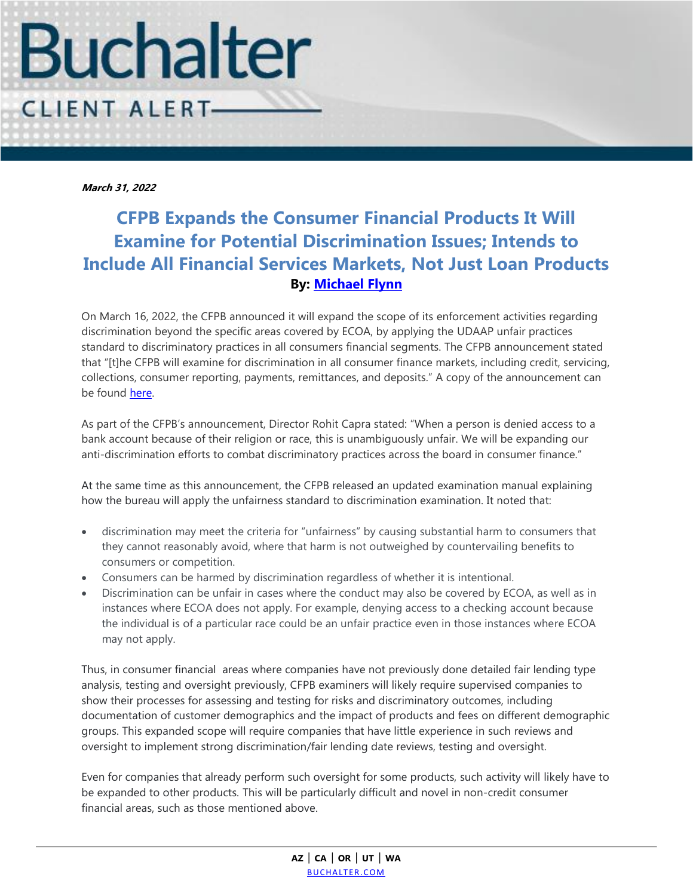

**March 31, 2022**

# **CFPB Expands the Consumer Financial Products It Will Examine for Potential Discrimination Issues; Intends to Include All Financial Services Markets, Not Just Loan Products By: [Michael](https://www.buchalter.com/attorneys/melissa-richards/#bio) Flynn**

On March 16, 2022, the CFPB announced it will expand the scope of its enforcement activities regarding discrimination beyond the specific areas covered by ECOA, by applying the UDAAP unfair practices standard to discriminatory practices in all consumers financial segments. The CFPB announcement stated that "[t]he CFPB will examine for discrimination in all consumer finance markets, including credit, servicing, collections, consumer reporting, payments, remittances, and deposits." A copy of the announcement can be found [here.](https://protect-us.mimecast.com/s/nTtaC5yAgyFgjR61IzWr_M)

As part of the CFPB's announcement, Director Rohit Capra stated: "When a person is denied access to a bank account because of their religion or race, this is unambiguously unfair. We will be expanding our anti-discrimination efforts to combat discriminatory practices across the board in consumer finance."

At the same time as this announcement, the CFPB released an updated examination manual explaining how the bureau will apply the unfairness standard to discrimination examination. It noted that:

- discrimination may meet the criteria for "unfairness" by causing substantial harm to consumers that they cannot reasonably avoid, where that harm is not outweighed by countervailing benefits to consumers or competition.
- Consumers can be harmed by discrimination regardless of whether it is intentional.
- Discrimination can be unfair in cases where the conduct may also be covered by ECOA, as well as in instances where ECOA does not apply. For example, denying access to a checking account because the individual is of a particular race could be an unfair practice even in those instances where ECOA may not apply.

Thus, in consumer financial areas where companies have not previously done detailed fair lending type analysis, testing and oversight previously, CFPB examiners will likely require supervised companies to show their processes for assessing and testing for risks and discriminatory outcomes, including documentation of customer demographics and the impact of products and fees on different demographic groups. This expanded scope will require companies that have little experience in such reviews and oversight to implement strong discrimination/fair lending date reviews, testing and oversight.

Even for companies that already perform such oversight for some products, such activity will likely have to be expanded to other products. This will be particularly difficult and novel in non-credit consumer financial areas, such as those mentioned above.